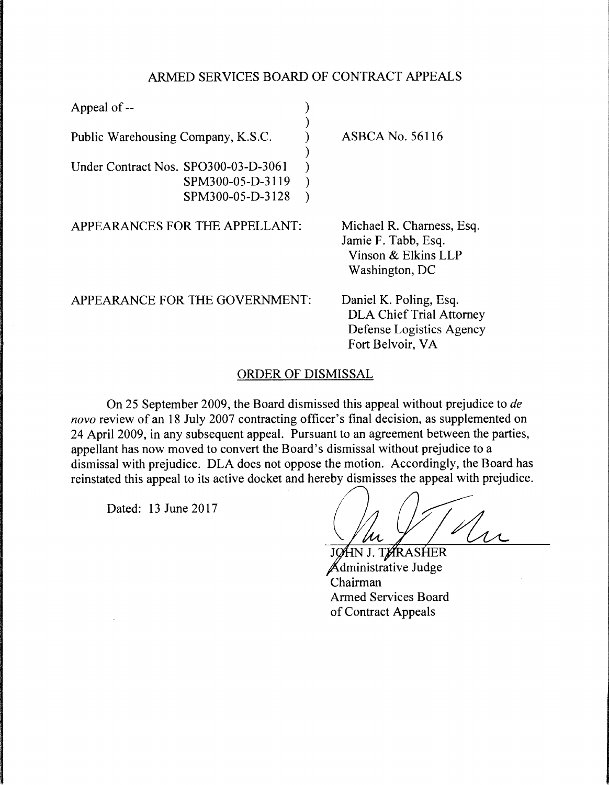## ARMED SERVICES BOARD OF CONTRACT APPEALS

| <b>ASBCA No. 56116</b>                                                                                    |
|-----------------------------------------------------------------------------------------------------------|
|                                                                                                           |
|                                                                                                           |
|                                                                                                           |
| Michael R. Charness, Esq.<br>Jamie F. Tabb, Esq.<br>Vinson & Elkins LLP<br>Washington, DC                 |
| Daniel K. Poling, Esq.<br><b>DLA Chief Trial Attorney</b><br>Defense Logistics Agency<br>Fort Belvoir, VA |
|                                                                                                           |

## ORDER OF DISMISSAL

On 25 September 2009, the Board dismissed this appeal without prejudice to *de*  novo review of an 18 July 2007 contracting officer's final decision, as supplemented on 24 April 2009, in any subsequent appeal. Pursuant to an agreement between the parties, appellant has now moved to convert the Board's dismissal without prejudice to a dismissal with prejudice. DLA does not oppose the motion. Accordingly, the Board has reinstated this appeal to its active docket and hereby dismisses the appeal with prejudice.

Dated: 13 June 2017

JØHN J. TØRASHER dministrative Judge Chairman Armed Services Board of Contract Appeals